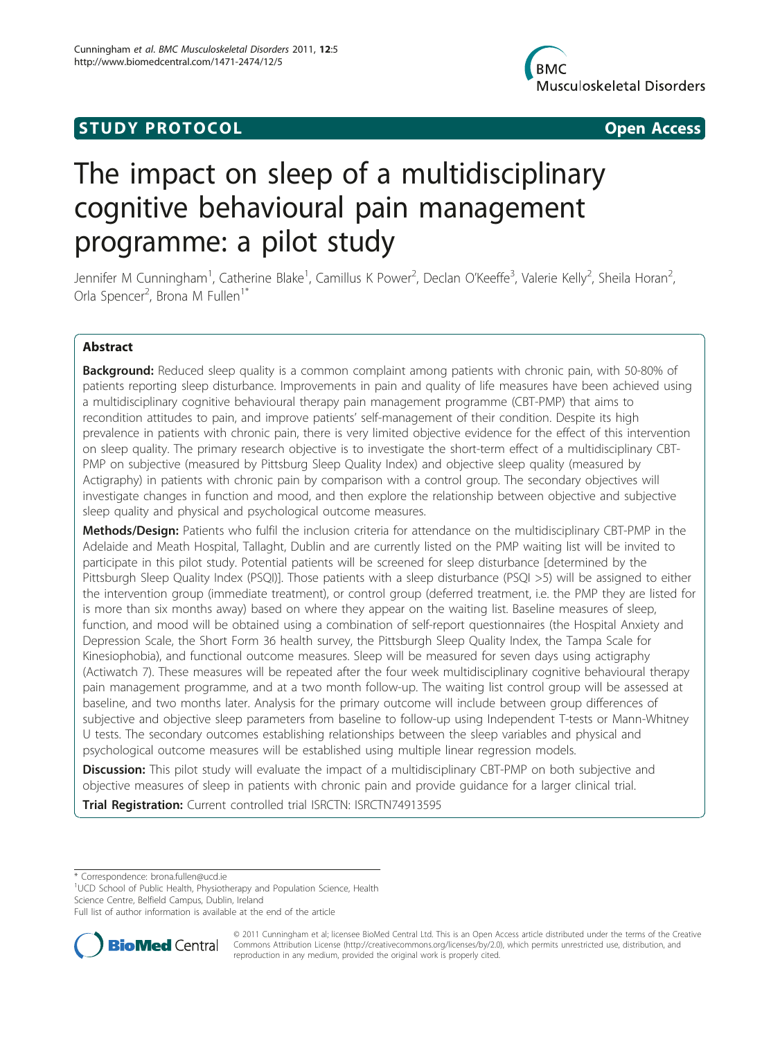# **STUDY PROTOCOL CONSUMING ACCESS**



# The impact on sleep of a multidisciplinary cognitive behavioural pain management programme: a pilot study

Jennifer M Cunningham<sup>1</sup>, Catherine Blake<sup>1</sup>, Camillus K Power<sup>2</sup>, Declan O'Keeffe<sup>3</sup>, Valerie Kelly<sup>2</sup>, Sheila Horan<sup>2</sup> .<br>, Orla Spencer<sup>2</sup>, Brona M Fullen<sup>1\*</sup>

# Abstract

**Background:** Reduced sleep quality is a common complaint among patients with chronic pain, with 50-80% of patients reporting sleep disturbance. Improvements in pain and quality of life measures have been achieved using a multidisciplinary cognitive behavioural therapy pain management programme (CBT-PMP) that aims to recondition attitudes to pain, and improve patients' self-management of their condition. Despite its high prevalence in patients with chronic pain, there is very limited objective evidence for the effect of this intervention on sleep quality. The primary research objective is to investigate the short-term effect of a multidisciplinary CBT-PMP on subjective (measured by Pittsburg Sleep Quality Index) and objective sleep quality (measured by Actigraphy) in patients with chronic pain by comparison with a control group. The secondary objectives will investigate changes in function and mood, and then explore the relationship between objective and subjective sleep quality and physical and psychological outcome measures.

Methods/Design: Patients who fulfil the inclusion criteria for attendance on the multidisciplinary CBT-PMP in the Adelaide and Meath Hospital, Tallaght, Dublin and are currently listed on the PMP waiting list will be invited to participate in this pilot study. Potential patients will be screened for sleep disturbance [determined by the Pittsburgh Sleep Quality Index (PSQI)]. Those patients with a sleep disturbance (PSQI >5) will be assigned to either the intervention group (immediate treatment), or control group (deferred treatment, i.e. the PMP they are listed for is more than six months away) based on where they appear on the waiting list. Baseline measures of sleep, function, and mood will be obtained using a combination of self-report questionnaires (the Hospital Anxiety and Depression Scale, the Short Form 36 health survey, the Pittsburgh Sleep Quality Index, the Tampa Scale for Kinesiophobia), and functional outcome measures. Sleep will be measured for seven days using actigraphy (Actiwatch 7). These measures will be repeated after the four week multidisciplinary cognitive behavioural therapy pain management programme, and at a two month follow-up. The waiting list control group will be assessed at baseline, and two months later. Analysis for the primary outcome will include between group differences of subjective and objective sleep parameters from baseline to follow-up using Independent T-tests or Mann-Whitney U tests. The secondary outcomes establishing relationships between the sleep variables and physical and psychological outcome measures will be established using multiple linear regression models.

**Discussion:** This pilot study will evaluate the impact of a multidisciplinary CBT-PMP on both subjective and objective measures of sleep in patients with chronic pain and provide guidance for a larger clinical trial.

Trial Registration: Current controlled trial ISRCTN: [ISRCTN74913595](http://www.controlled-trials.com/ISRCTN74913595)

\* Correspondence: [brona.fullen@ucd.ie](mailto:brona.fullen@ucd.ie)

<sup>1</sup>UCD School of Public Health, Physiotherapy and Population Science, Health Science Centre, Belfield Campus, Dublin, Ireland

Full list of author information is available at the end of the article



© 2011 Cunningham et al; licensee BioMed Central Ltd. This is an Open Access article distributed under the terms of the Creative Commons Attribution License [\(http://creativecommons.org/licenses/by/2.0](http://creativecommons.org/licenses/by/2.0)), which permits unrestricted use, distribution, and reproduction in any medium, provided the original work is properly cited.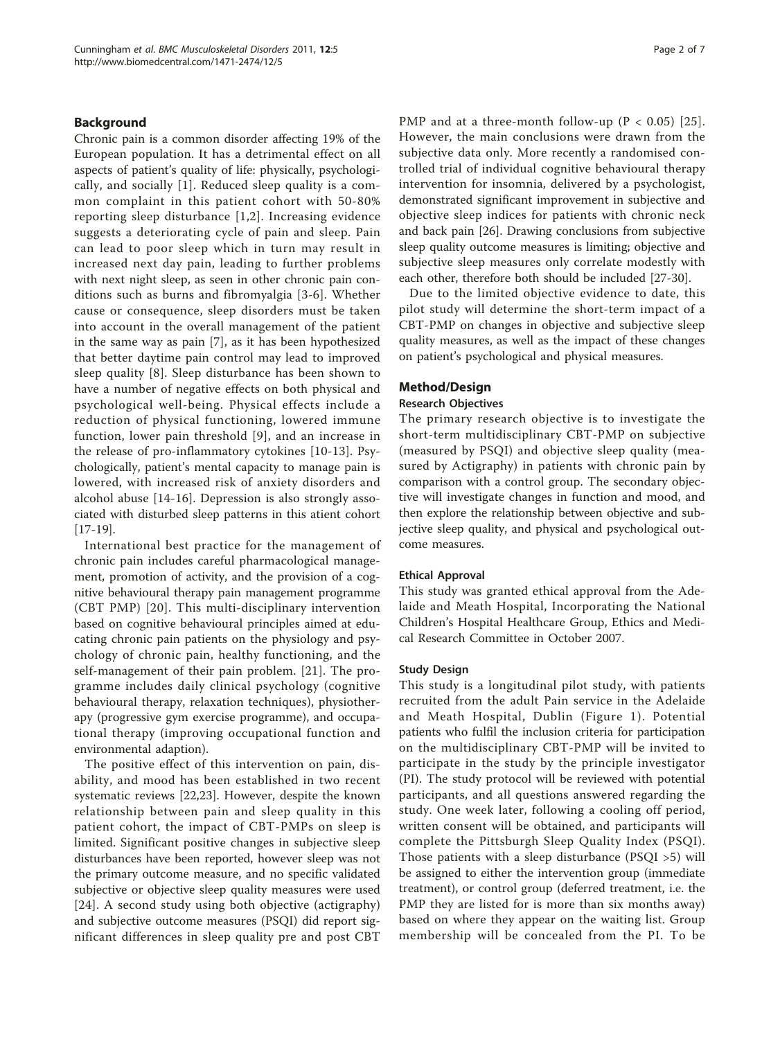# Background

Chronic pain is a common disorder affecting 19% of the European population. It has a detrimental effect on all aspects of patient's quality of life: physically, psychologically, and socially [[1](#page-5-0)]. Reduced sleep quality is a common complaint in this patient cohort with 50-80% reporting sleep disturbance [[1](#page-5-0),[2\]](#page-5-0). Increasing evidence suggests a deteriorating cycle of pain and sleep. Pain can lead to poor sleep which in turn may result in increased next day pain, leading to further problems with next night sleep, as seen in other chronic pain conditions such as burns and fibromyalgia [\[3](#page-5-0)-[6](#page-5-0)]. Whether cause or consequence, sleep disorders must be taken into account in the overall management of the patient in the same way as pain [\[7](#page-5-0)], as it has been hypothesized that better daytime pain control may lead to improved sleep quality [[8](#page-5-0)]. Sleep disturbance has been shown to have a number of negative effects on both physical and psychological well-being. Physical effects include a reduction of physical functioning, lowered immune function, lower pain threshold [[9](#page-5-0)], and an increase in the release of pro-inflammatory cytokines [\[10](#page-5-0)-[13\]](#page-5-0). Psychologically, patient's mental capacity to manage pain is lowered, with increased risk of anxiety disorders and alcohol abuse [\[14](#page-5-0)-[16](#page-5-0)]. Depression is also strongly associated with disturbed sleep patterns in this atient cohort [[17-19\]](#page-5-0).

International best practice for the management of chronic pain includes careful pharmacological management, promotion of activity, and the provision of a cognitive behavioural therapy pain management programme (CBT PMP) [[20](#page-5-0)]. This multi-disciplinary intervention based on cognitive behavioural principles aimed at educating chronic pain patients on the physiology and psychology of chronic pain, healthy functioning, and the self-management of their pain problem. [[21](#page-6-0)]. The programme includes daily clinical psychology (cognitive behavioural therapy, relaxation techniques), physiotherapy (progressive gym exercise programme), and occupational therapy (improving occupational function and environmental adaption).

The positive effect of this intervention on pain, disability, and mood has been established in two recent systematic reviews [\[22,23](#page-6-0)]. However, despite the known relationship between pain and sleep quality in this patient cohort, the impact of CBT-PMPs on sleep is limited. Significant positive changes in subjective sleep disturbances have been reported, however sleep was not the primary outcome measure, and no specific validated subjective or objective sleep quality measures were used [[24](#page-6-0)]. A second study using both objective (actigraphy) and subjective outcome measures (PSQI) did report significant differences in sleep quality pre and post CBT PMP and at a three-month follow-up ( $P < 0.05$ ) [[25\]](#page-6-0). However, the main conclusions were drawn from the subjective data only. More recently a randomised controlled trial of individual cognitive behavioural therapy intervention for insomnia, delivered by a psychologist, demonstrated significant improvement in subjective and objective sleep indices for patients with chronic neck and back pain [[26\]](#page-6-0). Drawing conclusions from subjective sleep quality outcome measures is limiting; objective and subjective sleep measures only correlate modestly with each other, therefore both should be included [[27](#page-6-0)-[30\]](#page-6-0).

Due to the limited objective evidence to date, this pilot study will determine the short-term impact of a CBT-PMP on changes in objective and subjective sleep quality measures, as well as the impact of these changes on patient's psychological and physical measures.

# Method/Design

#### Research Objectives

The primary research objective is to investigate the short-term multidisciplinary CBT-PMP on subjective (measured by PSQI) and objective sleep quality (measured by Actigraphy) in patients with chronic pain by comparison with a control group. The secondary objective will investigate changes in function and mood, and then explore the relationship between objective and subjective sleep quality, and physical and psychological outcome measures.

#### Ethical Approval

This study was granted ethical approval from the Adelaide and Meath Hospital, Incorporating the National Children's Hospital Healthcare Group, Ethics and Medical Research Committee in October 2007.

#### Study Design

This study is a longitudinal pilot study, with patients recruited from the adult Pain service in the Adelaide and Meath Hospital, Dublin (Figure [1\)](#page-2-0). Potential patients who fulfil the inclusion criteria for participation on the multidisciplinary CBT-PMP will be invited to participate in the study by the principle investigator (PI). The study protocol will be reviewed with potential participants, and all questions answered regarding the study. One week later, following a cooling off period, written consent will be obtained, and participants will complete the Pittsburgh Sleep Quality Index (PSQI). Those patients with a sleep disturbance (PSQI >5) will be assigned to either the intervention group (immediate treatment), or control group (deferred treatment, i.e. the PMP they are listed for is more than six months away) based on where they appear on the waiting list. Group membership will be concealed from the PI. To be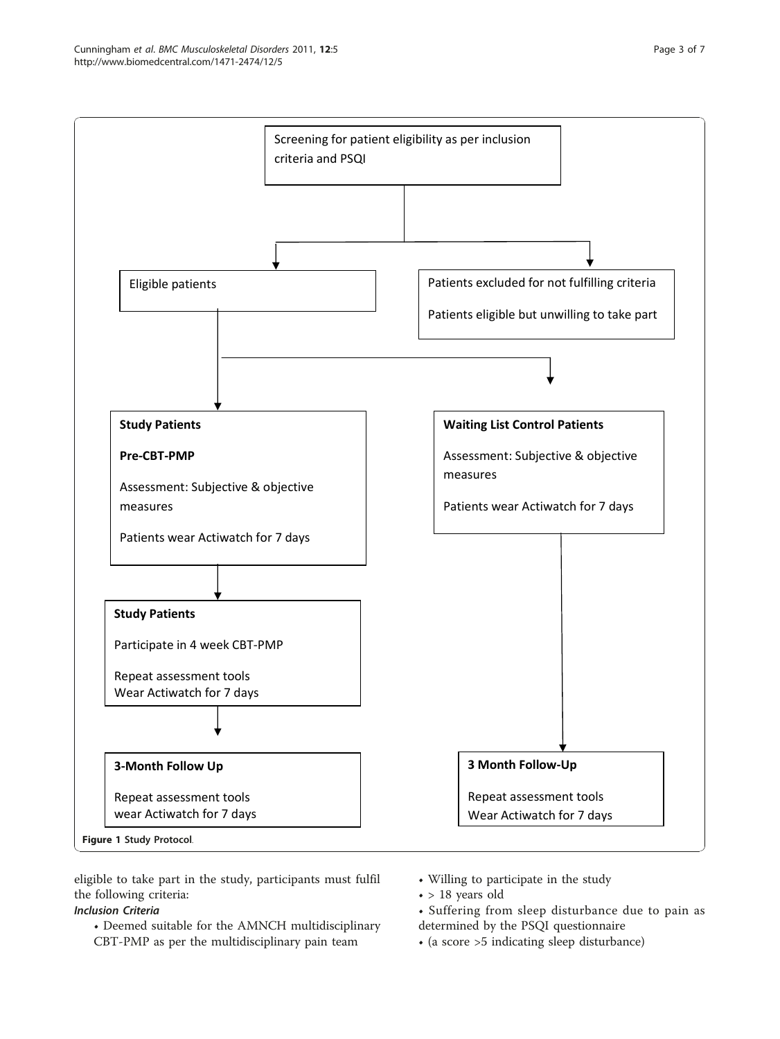<span id="page-2-0"></span>

eligible to take part in the study, participants must fulfil the following criteria:

# Inclusion Criteria

- Deemed suitable for the AMNCH multidisciplinary CBT-PMP as per the multidisciplinary pain team
- Willing to participate in the study
- > 18 years old
- Suffering from sleep disturbance due to pain as determined by the PSQI questionnaire
- (a score >5 indicating sleep disturbance)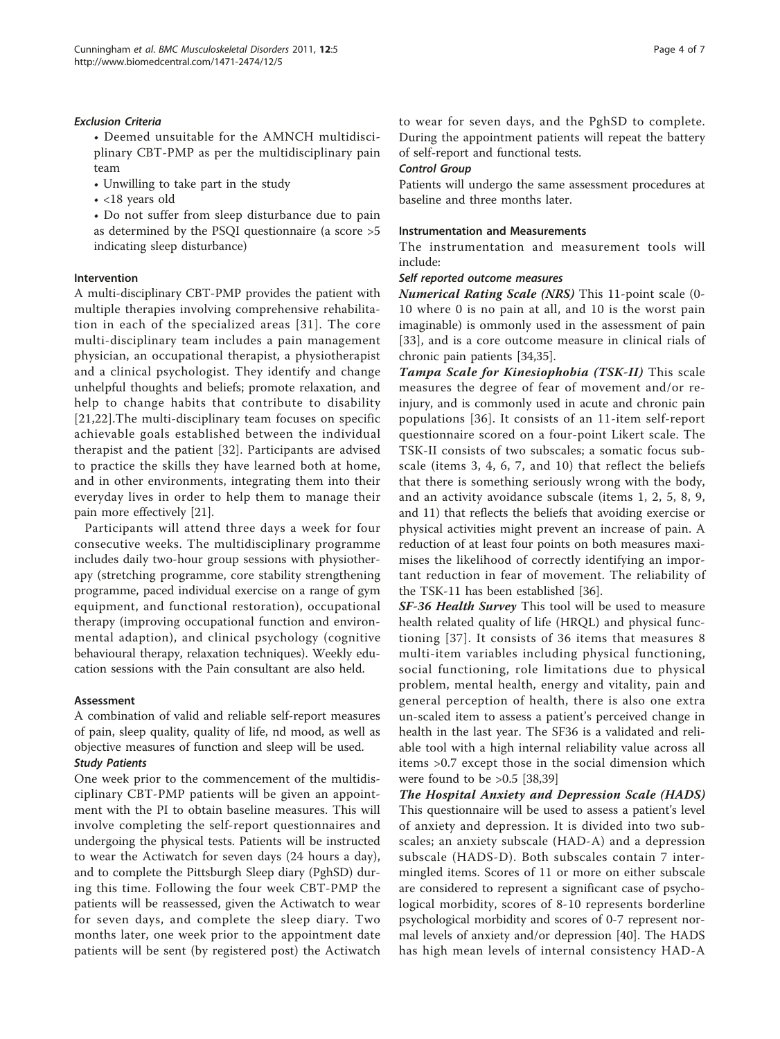# Exclusion Criteria

- Deemed unsuitable for the AMNCH multidisciplinary CBT-PMP as per the multidisciplinary pain team
- Unwilling to take part in the study
- <18 years old

• Do not suffer from sleep disturbance due to pain as determined by the PSQI questionnaire (a score >5 indicating sleep disturbance)

#### Intervention

A multi-disciplinary CBT-PMP provides the patient with multiple therapies involving comprehensive rehabilitation in each of the specialized areas [[31](#page-6-0)]. The core multi-disciplinary team includes a pain management physician, an occupational therapist, a physiotherapist and a clinical psychologist. They identify and change unhelpful thoughts and beliefs; promote relaxation, and help to change habits that contribute to disability [[21,22\]](#page-6-0).The multi-disciplinary team focuses on specific achievable goals established between the individual therapist and the patient [[32\]](#page-6-0). Participants are advised to practice the skills they have learned both at home, and in other environments, integrating them into their everyday lives in order to help them to manage their pain more effectively [[21](#page-6-0)].

Participants will attend three days a week for four consecutive weeks. The multidisciplinary programme includes daily two-hour group sessions with physiotherapy (stretching programme, core stability strengthening programme, paced individual exercise on a range of gym equipment, and functional restoration), occupational therapy (improving occupational function and environmental adaption), and clinical psychology (cognitive behavioural therapy, relaxation techniques). Weekly education sessions with the Pain consultant are also held.

#### Assessment

A combination of valid and reliable self-report measures of pain, sleep quality, quality of life, nd mood, as well as objective measures of function and sleep will be used.

# Study Patients

One week prior to the commencement of the multidisciplinary CBT-PMP patients will be given an appointment with the PI to obtain baseline measures. This will involve completing the self-report questionnaires and undergoing the physical tests. Patients will be instructed to wear the Actiwatch for seven days (24 hours a day), and to complete the Pittsburgh Sleep diary (PghSD) during this time. Following the four week CBT-PMP the patients will be reassessed, given the Actiwatch to wear for seven days, and complete the sleep diary. Two months later, one week prior to the appointment date patients will be sent (by registered post) the Actiwatch to wear for seven days, and the PghSD to complete. During the appointment patients will repeat the battery of self-report and functional tests.

#### Control Group

Patients will undergo the same assessment procedures at baseline and three months later.

#### Instrumentation and Measurements

The instrumentation and measurement tools will include:

#### Self reported outcome measures

Numerical Rating Scale (NRS) This 11-point scale (0- 10 where 0 is no pain at all, and 10 is the worst pain imaginable) is ommonly used in the assessment of pain [[33](#page-6-0)], and is a core outcome measure in clinical rials of chronic pain patients [[34,35](#page-6-0)].

Tampa Scale for Kinesiophobia (TSK-II) This scale measures the degree of fear of movement and/or reinjury, and is commonly used in acute and chronic pain populations [\[36\]](#page-6-0). It consists of an 11-item self-report questionnaire scored on a four-point Likert scale. The TSK-II consists of two subscales; a somatic focus subscale (items 3, 4, 6, 7, and 10) that reflect the beliefs that there is something seriously wrong with the body, and an activity avoidance subscale (items 1, 2, 5, 8, 9, and 11) that reflects the beliefs that avoiding exercise or physical activities might prevent an increase of pain. A reduction of at least four points on both measures maximises the likelihood of correctly identifying an important reduction in fear of movement. The reliability of the TSK-11 has been established [\[36](#page-6-0)].

SF-36 Health Survey This tool will be used to measure health related quality of life (HRQL) and physical functioning [[37](#page-6-0)]. It consists of 36 items that measures 8 multi-item variables including physical functioning, social functioning, role limitations due to physical problem, mental health, energy and vitality, pain and general perception of health, there is also one extra un-scaled item to assess a patient's perceived change in health in the last year. The SF36 is a validated and reliable tool with a high internal reliability value across all items >0.7 except those in the social dimension which were found to be >0.5 [\[38,39\]](#page-6-0)

The Hospital Anxiety and Depression Scale (HADS) This questionnaire will be used to assess a patient's level of anxiety and depression. It is divided into two subscales; an anxiety subscale (HAD-A) and a depression subscale (HADS-D). Both subscales contain 7 intermingled items. Scores of 11 or more on either subscale are considered to represent a significant case of psychological morbidity, scores of 8-10 represents borderline psychological morbidity and scores of 0-7 represent normal levels of anxiety and/or depression [[40\]](#page-6-0). The HADS has high mean levels of internal consistency HAD-A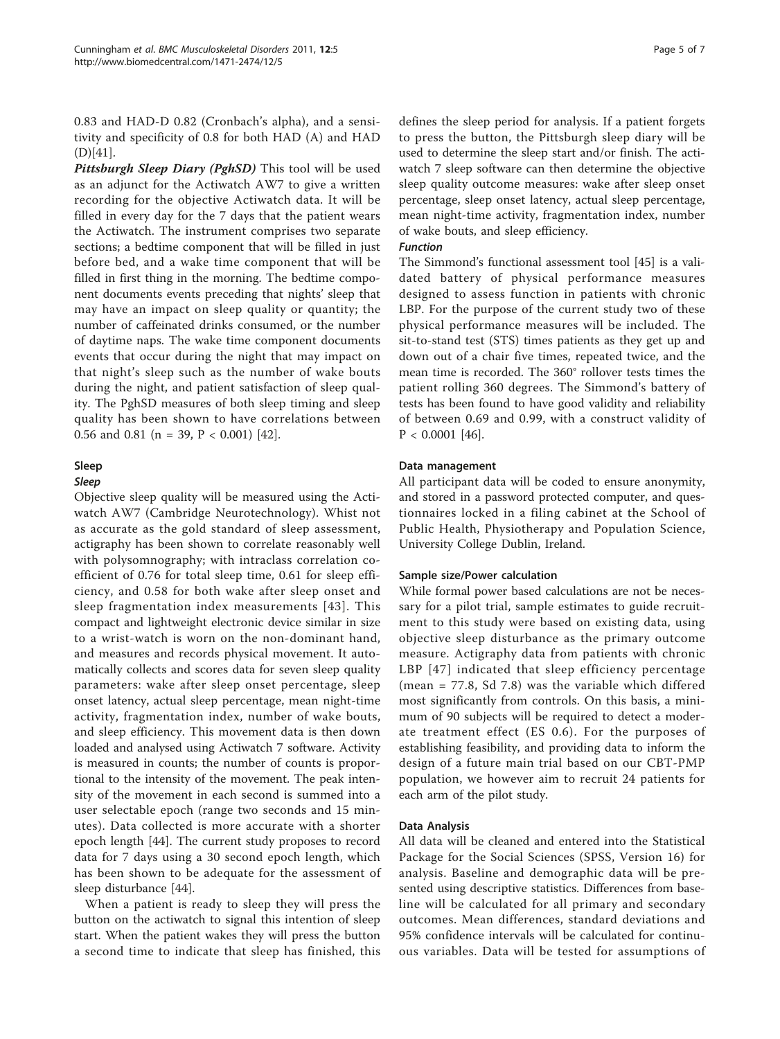0.83 and HAD-D 0.82 (Cronbach's alpha), and a sensitivity and specificity of 0.8 for both HAD (A) and HAD (D)[\[41](#page-6-0)].

Pittsburgh Sleep Diary (PghSD) This tool will be used as an adjunct for the Actiwatch AW7 to give a written recording for the objective Actiwatch data. It will be filled in every day for the 7 days that the patient wears the Actiwatch. The instrument comprises two separate sections; a bedtime component that will be filled in just before bed, and a wake time component that will be filled in first thing in the morning. The bedtime component documents events preceding that nights' sleep that may have an impact on sleep quality or quantity; the number of caffeinated drinks consumed, or the number of daytime naps. The wake time component documents events that occur during the night that may impact on that night's sleep such as the number of wake bouts during the night, and patient satisfaction of sleep quality. The PghSD measures of both sleep timing and sleep quality has been shown to have correlations between 0.56 and 0.81 (n = 39, P < 0.001) [\[42](#page-6-0)].

# Sleep

# Sleep

Objective sleep quality will be measured using the Actiwatch AW7 (Cambridge Neurotechnology). Whist not as accurate as the gold standard of sleep assessment, actigraphy has been shown to correlate reasonably well with polysomnography; with intraclass correlation coefficient of 0.76 for total sleep time, 0.61 for sleep efficiency, and 0.58 for both wake after sleep onset and sleep fragmentation index measurements [[43](#page-6-0)]. This compact and lightweight electronic device similar in size to a wrist-watch is worn on the non-dominant hand, and measures and records physical movement. It automatically collects and scores data for seven sleep quality parameters: wake after sleep onset percentage, sleep onset latency, actual sleep percentage, mean night-time activity, fragmentation index, number of wake bouts, and sleep efficiency. This movement data is then down loaded and analysed using Actiwatch 7 software. Activity is measured in counts; the number of counts is proportional to the intensity of the movement. The peak intensity of the movement in each second is summed into a user selectable epoch (range two seconds and 15 minutes). Data collected is more accurate with a shorter epoch length [\[44](#page-6-0)]. The current study proposes to record data for 7 days using a 30 second epoch length, which has been shown to be adequate for the assessment of sleep disturbance [[44\]](#page-6-0).

When a patient is ready to sleep they will press the button on the actiwatch to signal this intention of sleep start. When the patient wakes they will press the button a second time to indicate that sleep has finished, this

defines the sleep period for analysis. If a patient forgets to press the button, the Pittsburgh sleep diary will be used to determine the sleep start and/or finish. The actiwatch 7 sleep software can then determine the objective sleep quality outcome measures: wake after sleep onset percentage, sleep onset latency, actual sleep percentage, mean night-time activity, fragmentation index, number of wake bouts, and sleep efficiency.

# Function

The Simmond's functional assessment tool [[45](#page-6-0)] is a validated battery of physical performance measures designed to assess function in patients with chronic LBP. For the purpose of the current study two of these physical performance measures will be included. The sit-to-stand test (STS) times patients as they get up and down out of a chair five times, repeated twice, and the mean time is recorded. The 360° rollover tests times the patient rolling 360 degrees. The Simmond's battery of tests has been found to have good validity and reliability of between 0.69 and 0.99, with a construct validity of  $P < 0.0001$  [[46\]](#page-6-0).

# Data management

All participant data will be coded to ensure anonymity, and stored in a password protected computer, and questionnaires locked in a filing cabinet at the School of Public Health, Physiotherapy and Population Science, University College Dublin, Ireland.

# Sample size/Power calculation

While formal power based calculations are not be necessary for a pilot trial, sample estimates to guide recruitment to this study were based on existing data, using objective sleep disturbance as the primary outcome measure. Actigraphy data from patients with chronic LBP [[47](#page-6-0)] indicated that sleep efficiency percentage (mean = 77.8, Sd 7.8) was the variable which differed most significantly from controls. On this basis, a minimum of 90 subjects will be required to detect a moderate treatment effect (ES 0.6). For the purposes of establishing feasibility, and providing data to inform the design of a future main trial based on our CBT-PMP population, we however aim to recruit 24 patients for each arm of the pilot study.

# Data Analysis

All data will be cleaned and entered into the Statistical Package for the Social Sciences (SPSS, Version 16) for analysis. Baseline and demographic data will be presented using descriptive statistics. Differences from baseline will be calculated for all primary and secondary outcomes. Mean differences, standard deviations and 95% confidence intervals will be calculated for continuous variables. Data will be tested for assumptions of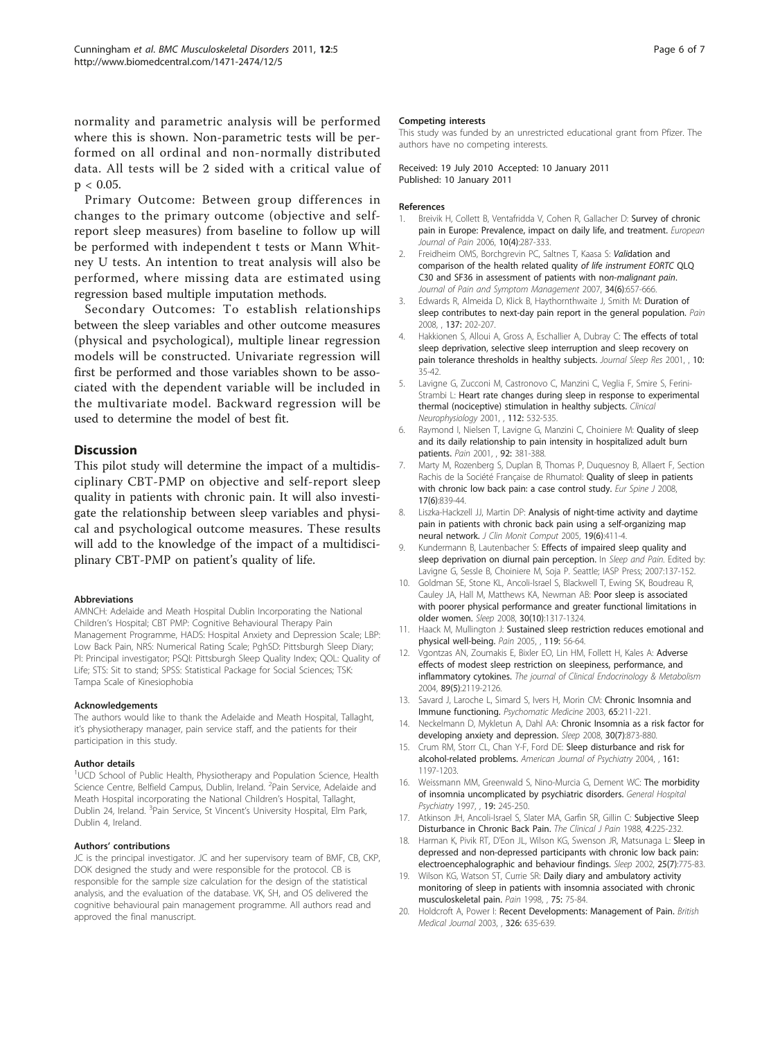<span id="page-5-0"></span>normality and parametric analysis will be performed where this is shown. Non-parametric tests will be performed on all ordinal and non-normally distributed data. All tests will be 2 sided with a critical value of  $p < 0.05$ .

Primary Outcome: Between group differences in changes to the primary outcome (objective and selfreport sleep measures) from baseline to follow up will be performed with independent t tests or Mann Whitney U tests. An intention to treat analysis will also be performed, where missing data are estimated using regression based multiple imputation methods.

Secondary Outcomes: To establish relationships between the sleep variables and other outcome measures (physical and psychological), multiple linear regression models will be constructed. Univariate regression will first be performed and those variables shown to be associated with the dependent variable will be included in the multivariate model. Backward regression will be used to determine the model of best fit.

# **Discussion**

This pilot study will determine the impact of a multidisciplinary CBT-PMP on objective and self-report sleep quality in patients with chronic pain. It will also investigate the relationship between sleep variables and physical and psychological outcome measures. These results will add to the knowledge of the impact of a multidisciplinary CBT-PMP on patient's quality of life.

#### Abbreviations

AMNCH: Adelaide and Meath Hospital Dublin Incorporating the National Children's Hospital; CBT PMP: Cognitive Behavioural Therapy Pain Management Programme, HADS: Hospital Anxiety and Depression Scale; LBP: Low Back Pain, NRS: Numerical Rating Scale; PghSD: Pittsburgh Sleep Diary; PI: Principal investigator; PSQI: Pittsburgh Sleep Quality Index; QOL: Quality of Life; STS: Sit to stand; SPSS: Statistical Package for Social Sciences; TSK: Tampa Scale of Kinesiophobia

#### Acknowledgements

The authors would like to thank the Adelaide and Meath Hospital, Tallaght, it's physiotherapy manager, pain service staff, and the patients for their participation in this study.

#### Author details

<sup>1</sup>UCD School of Public Health, Physiotherapy and Population Science, Health Science Centre, Belfield Campus, Dublin, Ireland. <sup>2</sup>Pain Service, Adelaide and Meath Hospital incorporating the National Children's Hospital, Tallaght, Dublin 24, Ireland. <sup>3</sup>Pain Service, St Vincent's University Hospital, Elm Park, Dublin 4, Ireland.

#### Authors' contributions

JC is the principal investigator. JC and her supervisory team of BMF, CB, CKP, DOK designed the study and were responsible for the protocol. CB is responsible for the sample size calculation for the design of the statistical analysis, and the evaluation of the database. VK, SH, and OS delivered the cognitive behavioural pain management programme. All authors read and approved the final manuscript.

#### Competing interests

This study was funded by an unrestricted educational grant from Pfizer. The authors have no competing interests.

#### Received: 19 July 2010 Accepted: 10 January 2011 Published: 10 January 2011

#### References

- Breivik H, Collett B, Ventafridda V, Cohen R, Gallacher D: [Survey of chronic](http://www.ncbi.nlm.nih.gov/pubmed/16095934?dopt=Abstract) [pain in Europe: Prevalence, impact on daily life, and treatment.](http://www.ncbi.nlm.nih.gov/pubmed/16095934?dopt=Abstract) European Journal of Pain 2006, 10(4):287-333.
- 2. Freidheim OMS, Borchgrevin PC, Saltnes T, Kaasa S: Vali[dation and](http://www.ncbi.nlm.nih.gov/pubmed/17618079?dopt=Abstract) [comparison of the health related quality](http://www.ncbi.nlm.nih.gov/pubmed/17618079?dopt=Abstract) of life instrument EORTC QLQ [C30 and SF36 in assessment of patients with no](http://www.ncbi.nlm.nih.gov/pubmed/17618079?dopt=Abstract)n-malignant pain. Journal of Pain and Symptom Management 2007, 34(6):657-666.
- Edwards R, Almeida D, Klick B, Haythornthwaite J, Smith M: [Duration of](http://www.ncbi.nlm.nih.gov/pubmed/18434020?dopt=Abstract) [sleep contributes to next-day pain report in the general population.](http://www.ncbi.nlm.nih.gov/pubmed/18434020?dopt=Abstract) Pain 2008, , 137: 202-207.
- 4. Hakkionen S, Alloui A, Gross A, Eschallier A, Dubray C: The effects of total sleep deprivation, selective sleep interruption and sleep recovery on pain tolerance thresholds in healthy subjects. Journal Sleep Res 2001, , 10: 35-42.
- 5. Lavigne G, Zucconi M, Castronovo C, Manzini C, Veglia F, Smire S, Ferini-Strambi L: [Heart rate changes during sleep in response to experimental](http://www.ncbi.nlm.nih.gov/pubmed/11222976?dopt=Abstract) [thermal \(nociceptive\) stimulation in healthy subjects.](http://www.ncbi.nlm.nih.gov/pubmed/11222976?dopt=Abstract) Clinical Neurophysiology 2001, , 112: 532-535.
- 6. Raymond I, Nielsen T, Lavigne G, Manzini C, Choiniere M: [Quality of sleep](http://www.ncbi.nlm.nih.gov/pubmed/11376911?dopt=Abstract) [and its daily relationship to pain intensity in hospitalized adult burn](http://www.ncbi.nlm.nih.gov/pubmed/11376911?dopt=Abstract) [patients.](http://www.ncbi.nlm.nih.gov/pubmed/11376911?dopt=Abstract) Pain 2001, , 92: 381-388.
- 7. Marty M, Rozenberg S, Duplan B, Thomas P, Duquesnoy B, Allaert F, Section Rachis de la Société Française de Rhumatol: [Quality of sleep in patients](http://www.ncbi.nlm.nih.gov/pubmed/18389288?dopt=Abstract) [with chronic low back pain: a case control study.](http://www.ncbi.nlm.nih.gov/pubmed/18389288?dopt=Abstract) Eur Spine J 2008, 17(6):839-44.
- 8. Liszka-Hackzell JJ, Martin DP: [Analysis of night-time activity and daytime](http://www.ncbi.nlm.nih.gov/pubmed/16437292?dopt=Abstract) [pain in patients with chronic back pain using a self-organizing map](http://www.ncbi.nlm.nih.gov/pubmed/16437292?dopt=Abstract) [neural network.](http://www.ncbi.nlm.nih.gov/pubmed/16437292?dopt=Abstract) J Clin Monit Comput 2005, 19(6):411-4.
- 9. Kundermann B, Lautenbacher S: Effects of impaired sleep quality and sleep deprivation on diurnal pain perception. In Sleep and Pain. Edited by: Lavigne G, Sessle B, Choiniere M, Soja P. Seattle; IASP Press; 2007:137-152.
- 10. Goldman SE, Stone KL, Ancoli-Israel S, Blackwell T, Ewing SK, Boudreau R, Cauley JA, Hall M, Matthews KA, Newman AB: Poor sleep is associated with poorer physical performance and greater functional limitations in older women. Sleep 2008, 30(10):1317-1324.
- 11. Haack M, Mullington J: [Sustained sleep restriction reduces emotional and](http://www.ncbi.nlm.nih.gov/pubmed/16297554?dopt=Abstract) [physical well-being.](http://www.ncbi.nlm.nih.gov/pubmed/16297554?dopt=Abstract) Pain 2005, , 119: 56-64.
- 12. Vgontzas AN, Zoumakis E, Bixler EO, Lin HM, Follett H, Kales A: Adverse effects of modest sleep restriction on sleepiness, performance, and inflammatory cytokines. The journal of Clinical Endocrinology & Metabolism 2004, 89(5):2119-2126.
- 13. Savard J, Laroche L, Simard S, Ivers H, Morin CM: Chronic Insomnia and Immune functioning. Psychomatic Medicine 2003, 65:211-221.
- 14. Neckelmann D, Mykletun A, Dahl AA: Chronic Insomnia as a risk factor for developing anxiety and depression. Sleep 2008, 30(7):873-880.
- 15. Crum RM, Storr CL, Chan Y-F, Ford DE: [Sleep disturbance and risk for](http://www.ncbi.nlm.nih.gov/pubmed/15229051?dopt=Abstract) [alcohol-related problems.](http://www.ncbi.nlm.nih.gov/pubmed/15229051?dopt=Abstract) American Journal of Psychiatry 2004, , 161: 1197-1203.
- 16. Weissmann MM, Greenwald S, Nino-Murcia G, Dement WC: [The morbidity](http://www.ncbi.nlm.nih.gov/pubmed/9327253?dopt=Abstract) [of insomnia uncomplicated by psychiatric disorders.](http://www.ncbi.nlm.nih.gov/pubmed/9327253?dopt=Abstract) General Hospital Psychiatry 1997, , 19: 245-250.
- 17. Atkinson JH, Ancoli-Israel S, Slater MA, Garfin SR, Gillin C: Subjective Sleep Disturbance in Chronic Back Pain. The Clinical J Pain 1988, 4:225-232.
- 18. Harman K, Pivik RT, D'Eon JL, Wilson KG, Swenson JR, Matsunaga L: [Sleep in](http://www.ncbi.nlm.nih.gov/pubmed/12405614?dopt=Abstract) [depressed and non-depressed participants with chronic low back pain:](http://www.ncbi.nlm.nih.gov/pubmed/12405614?dopt=Abstract) [electroencephalographic and behaviour findings.](http://www.ncbi.nlm.nih.gov/pubmed/12405614?dopt=Abstract) Sleep 2002, 25(7):775-83.
- 19. Wilson KG, Watson ST, Currie SR: [Daily diary and ambulatory activity](http://www.ncbi.nlm.nih.gov/pubmed/9539676?dopt=Abstract) [monitoring of sleep in patients with insomnia associated with chronic](http://www.ncbi.nlm.nih.gov/pubmed/9539676?dopt=Abstract) [musculoskeletal pain.](http://www.ncbi.nlm.nih.gov/pubmed/9539676?dopt=Abstract) Pain 1998, , 75: 75-84.
- 20. Holdcroft A, Power I: [Recent Developments: Management of Pain.](http://www.ncbi.nlm.nih.gov/pubmed/12649239?dopt=Abstract) British Medical Journal 2003, , 326: 635-639.